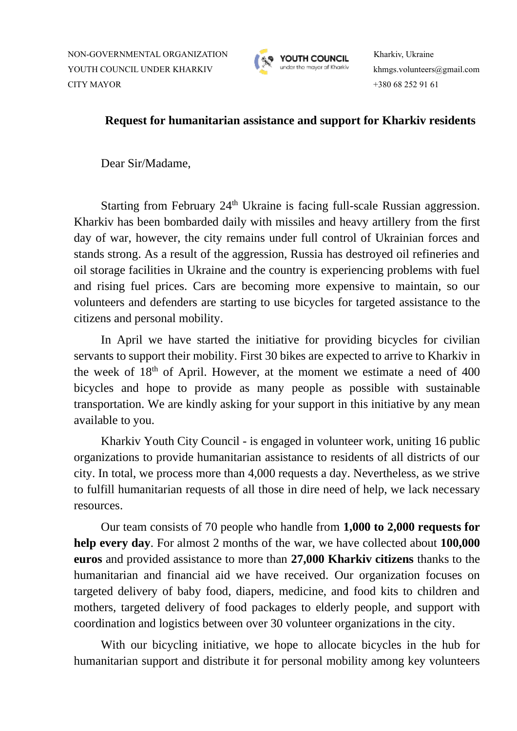NON-GOVERNMENTAL ORGANIZATION **Kharkiv, Ukraine** YOUTH COUNCIL UNDER KHARKIV khmgs.volunteers@gmail.com CITY MAYOR +380 68 252 91 61



## **Request for humanitarian assistance and support for Kharkiv residents**

Dear Sir/Madame,

Starting from February  $24<sup>th</sup>$  Ukraine is facing full-scale Russian aggression. Kharkiv has been bombarded daily with missiles and heavy artillery from the first day of war, however, the city remains under full control of Ukrainian forces and stands strong. As a result of the aggression, Russia has destroyed oil refineries and oil storage facilities in Ukraine and the country is experiencing problems with fuel and rising fuel prices. Cars are becoming more expensive to maintain, so our volunteers and defenders are starting to use bicycles for targeted assistance to the citizens and personal mobility.

In April we have started the initiative for providing bicycles for civilian servants to support their mobility. First 30 bikes are expected to arrive to Kharkiv in the week of  $18<sup>th</sup>$  of April. However, at the moment we estimate a need of 400 bicycles and hope to provide as many people as possible with sustainable transportation. We are kindly asking for your support in this initiative by any mean available to you.

Kharkiv Youth City Council - is engaged in volunteer work, uniting 16 public organizations to provide humanitarian assistance to residents of all districts of our city. In total, we process more than 4,000 requests a day. Nevertheless, as we strive to fulfill humanitarian requests of all those in dire need of help, we lack necessary resources.

Our team consists of 70 people who handle from **1,000 to 2,000 requests for help every day**. For almost 2 months of the war, we have collected about **100,000 euros** and provided assistance to more than **27,000 Kharkiv citizens** thanks to the humanitarian and financial aid we have received. Our organization focuses on targeted delivery of baby food, diapers, medicine, and food kits to children and mothers, targeted delivery of food packages to elderly people, and support with coordination and logistics between over 30 volunteer organizations in the city.

With our bicycling initiative, we hope to allocate bicycles in the hub for humanitarian support and distribute it for personal mobility among key volunteers